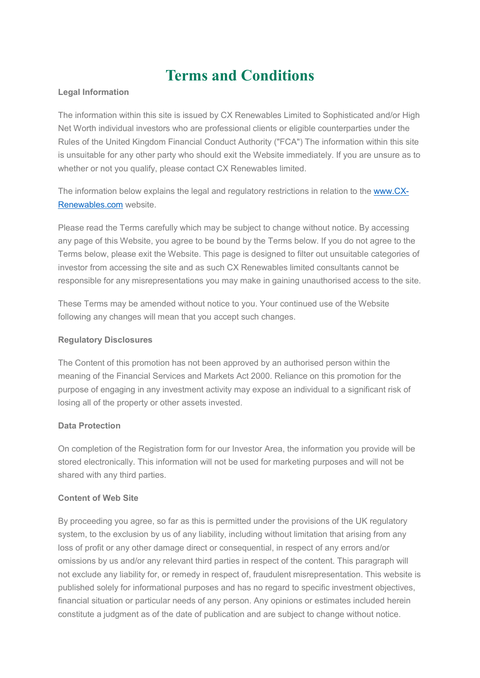# **Terms and Conditions**

## **Legal Information**

The information within this site is issued by CX Renewables Limited to Sophisticated and/or High Net Worth individual investors who are professional clients or eligible counterparties under the Rules of the United Kingdom Financial Conduct Authority ("FCA") The information within this site is unsuitable for any other party who should exit the Website immediately. If you are unsure as to whether or not you qualify, please contact CX Renewables limited.

The information below explains the legal and regulatory restrictions in relation to the [www.CX-](http://www.cx-renewables.com/)[Renewables.com](http://www.cx-renewables.com/) website.

Please read the Terms carefully which may be subject to change without notice. By accessing any page of this Website, you agree to be bound by the Terms below. If you do not agree to the Terms below, please exit the Website. This page is designed to filter out unsuitable categories of investor from accessing the site and as such CX Renewables limited consultants cannot be responsible for any misrepresentations you may make in gaining unauthorised access to the site.

These Terms may be amended without notice to you. Your continued use of the Website following any changes will mean that you accept such changes.

## **Regulatory Disclosures**

The Content of this promotion has not been approved by an authorised person within the meaning of the Financial Services and Markets Act 2000. Reliance on this promotion for the purpose of engaging in any investment activity may expose an individual to a significant risk of losing all of the property or other assets invested.

# **Data Protection**

On completion of the Registration form for our Investor Area, the information you provide will be stored electronically. This information will not be used for marketing purposes and will not be shared with any third parties.

## **Content of Web Site**

By proceeding you agree, so far as this is permitted under the provisions of the UK regulatory system, to the exclusion by us of any liability, including without limitation that arising from any loss of profit or any other damage direct or consequential, in respect of any errors and/or omissions by us and/or any relevant third parties in respect of the content. This paragraph will not exclude any liability for, or remedy in respect of, fraudulent misrepresentation. This website is published solely for informational purposes and has no regard to specific investment objectives, financial situation or particular needs of any person. Any opinions or estimates included herein constitute a judgment as of the date of publication and are subject to change without notice.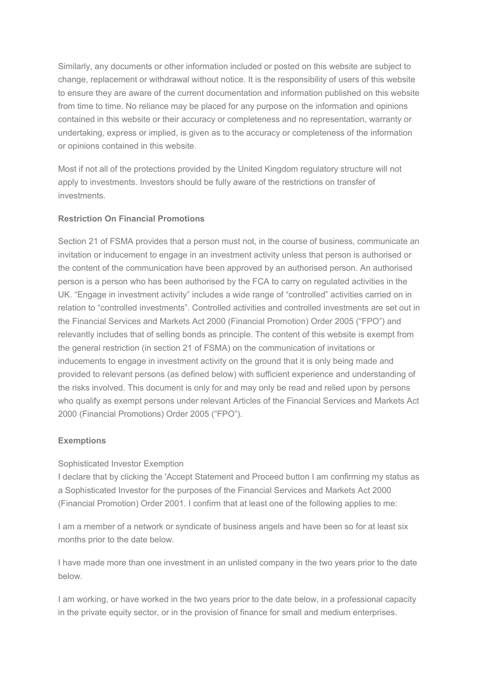Similarly, any documents or other information included or posted on this website are subject to change, replacement or withdrawal without notice. It is the responsibility of users of this website to ensure they are aware of the current documentation and information published on this website from time to time. No reliance may be placed for any purpose on the information and opinions contained in this website or their accuracy or completeness and no representation, warranty or undertaking, express or implied, is given as to the accuracy or completeness of the information or opinions contained in this website.

Most if not all of the protections provided by the United Kingdom regulatory structure will not apply to investments. Investors should be fully aware of the restrictions on transfer of investments.

## **Restriction On Financial Promotions**

Section 21 of FSMA provides that a person must not, in the course of business, communicate an invitation or inducement to engage in an investment activity unless that person is authorised or the content of the communication have been approved by an authorised person. An authorised person is a person who has been authorised by the FCA to carry on regulated activities in the UK. "Engage in investment activity" includes a wide range of "controlled" activities carried on in relation to "controlled investments". Controlled activities and controlled investments are set out in the Financial Services and Markets Act 2000 (Financial Promotion) Order 2005 ("FPO") and relevantly includes that of selling bonds as principle. The content of this website is exempt from the general restriction (in section 21 of FSMA) on the communication of invitations or inducements to engage in investment activity on the ground that it is only being made and provided to relevant persons (as defined below) with sufficient experience and understanding of the risks involved. This document is only for and may only be read and relied upon by persons who qualify as exempt persons under relevant Articles of the Financial Services and Markets Act 2000 (Financial Promotions) Order 2005 ("FPO").

## **Exemptions**

## Sophisticated Investor Exemption

I declare that by clicking the 'Accept Statement and Proceed button I am confirming my status as a Sophisticated Investor for the purposes of the Financial Services and Markets Act 2000 (Financial Promotion) Order 2001. I confirm that at least one of the following applies to me:

I am a member of a network or syndicate of business angels and have been so for at least six months prior to the date below.

I have made more than one investment in an unlisted company in the two years prior to the date below.

I am working, or have worked in the two years prior to the date below, in a professional capacity in the private equity sector, or in the provision of finance for small and medium enterprises.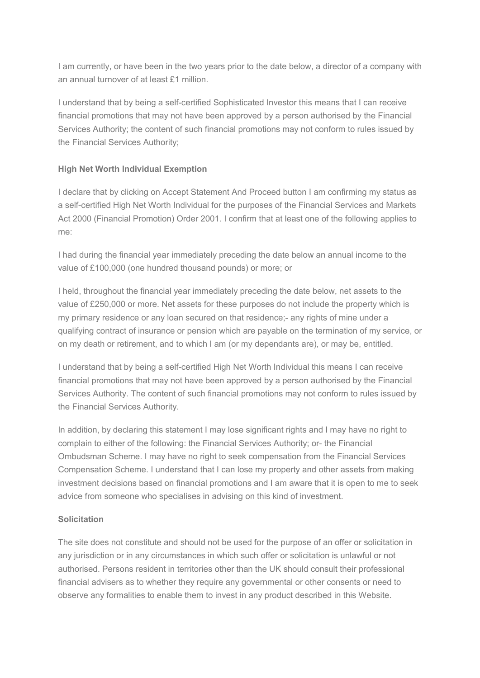I am currently, or have been in the two years prior to the date below, a director of a company with an annual turnover of at least £1 million.

I understand that by being a self-certified Sophisticated Investor this means that I can receive financial promotions that may not have been approved by a person authorised by the Financial Services Authority; the content of such financial promotions may not conform to rules issued by the Financial Services Authority;

# **High Net Worth Individual Exemption**

I declare that by clicking on Accept Statement And Proceed button I am confirming my status as a self-certified High Net Worth Individual for the purposes of the Financial Services and Markets Act 2000 (Financial Promotion) Order 2001. I confirm that at least one of the following applies to me:

I had during the financial year immediately preceding the date below an annual income to the value of £100,000 (one hundred thousand pounds) or more; or

I held, throughout the financial year immediately preceding the date below, net assets to the value of £250,000 or more. Net assets for these purposes do not include the property which is my primary residence or any loan secured on that residence;- any rights of mine under a qualifying contract of insurance or pension which are payable on the termination of my service, or on my death or retirement, and to which I am (or my dependants are), or may be, entitled.

I understand that by being a self-certified High Net Worth Individual this means I can receive financial promotions that may not have been approved by a person authorised by the Financial Services Authority. The content of such financial promotions may not conform to rules issued by the Financial Services Authority.

In addition, by declaring this statement I may lose significant rights and I may have no right to complain to either of the following: the Financial Services Authority; or- the Financial Ombudsman Scheme. I may have no right to seek compensation from the Financial Services Compensation Scheme. I understand that I can lose my property and other assets from making investment decisions based on financial promotions and I am aware that it is open to me to seek advice from someone who specialises in advising on this kind of investment.

# **Solicitation**

The site does not constitute and should not be used for the purpose of an offer or solicitation in any jurisdiction or in any circumstances in which such offer or solicitation is unlawful or not authorised. Persons resident in territories other than the UK should consult their professional financial advisers as to whether they require any governmental or other consents or need to observe any formalities to enable them to invest in any product described in this Website.